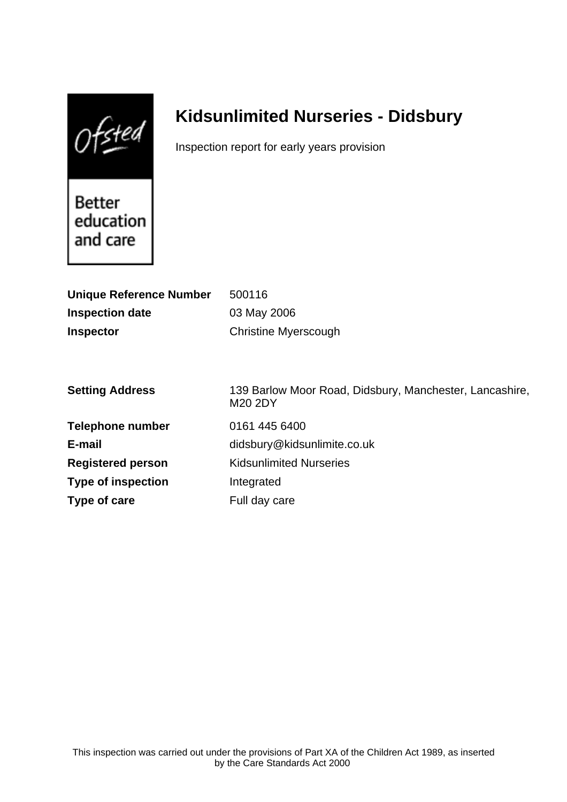$0$ fsted

# **Kidsunlimited Nurseries - Didsbury**

Inspection report for early years provision

Better education and care

| <b>Unique Reference Number</b> | 500116                                                             |
|--------------------------------|--------------------------------------------------------------------|
| <b>Inspection date</b>         | 03 May 2006                                                        |
| <b>Inspector</b>               | <b>Christine Myerscough</b>                                        |
|                                |                                                                    |
|                                |                                                                    |
| <b>Setting Address</b>         | 139 Barlow Moor Road, Didsbury, Manchester, Lancashire,<br>M20 2DY |
| <b>Telephone number</b>        | 0161 445 6400                                                      |
| E-mail                         | didsbury@kidsunlimite.co.uk                                        |
| <b>Registered person</b>       | <b>Kidsunlimited Nurseries</b>                                     |
| <b>Type of inspection</b>      | Integrated                                                         |
| Type of care                   | Full day care                                                      |
|                                |                                                                    |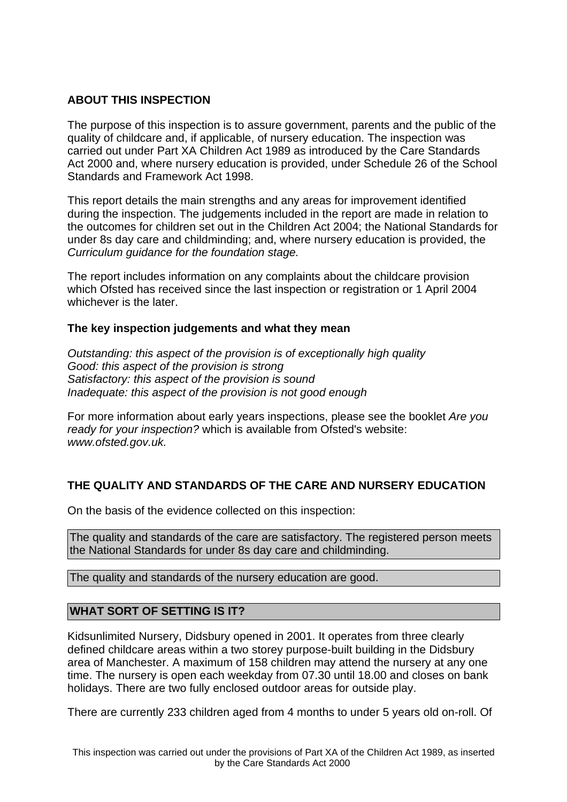# **ABOUT THIS INSPECTION**

The purpose of this inspection is to assure government, parents and the public of the quality of childcare and, if applicable, of nursery education. The inspection was carried out under Part XA Children Act 1989 as introduced by the Care Standards Act 2000 and, where nursery education is provided, under Schedule 26 of the School Standards and Framework Act 1998.

This report details the main strengths and any areas for improvement identified during the inspection. The judgements included in the report are made in relation to the outcomes for children set out in the Children Act 2004; the National Standards for under 8s day care and childminding; and, where nursery education is provided, the Curriculum guidance for the foundation stage.

The report includes information on any complaints about the childcare provision which Ofsted has received since the last inspection or registration or 1 April 2004 whichever is the later.

# **The key inspection judgements and what they mean**

Outstanding: this aspect of the provision is of exceptionally high quality Good: this aspect of the provision is strong Satisfactory: this aspect of the provision is sound Inadequate: this aspect of the provision is not good enough

For more information about early years inspections, please see the booklet Are you ready for your inspection? which is available from Ofsted's website: www.ofsted.gov.uk.

# **THE QUALITY AND STANDARDS OF THE CARE AND NURSERY EDUCATION**

On the basis of the evidence collected on this inspection:

The quality and standards of the care are satisfactory. The registered person meets the National Standards for under 8s day care and childminding.

The quality and standards of the nursery education are good.

# **WHAT SORT OF SETTING IS IT?**

Kidsunlimited Nursery, Didsbury opened in 2001. It operates from three clearly defined childcare areas within a two storey purpose-built building in the Didsbury area of Manchester. A maximum of 158 children may attend the nursery at any one time. The nursery is open each weekday from 07.30 until 18.00 and closes on bank holidays. There are two fully enclosed outdoor areas for outside play.

There are currently 233 children aged from 4 months to under 5 years old on-roll. Of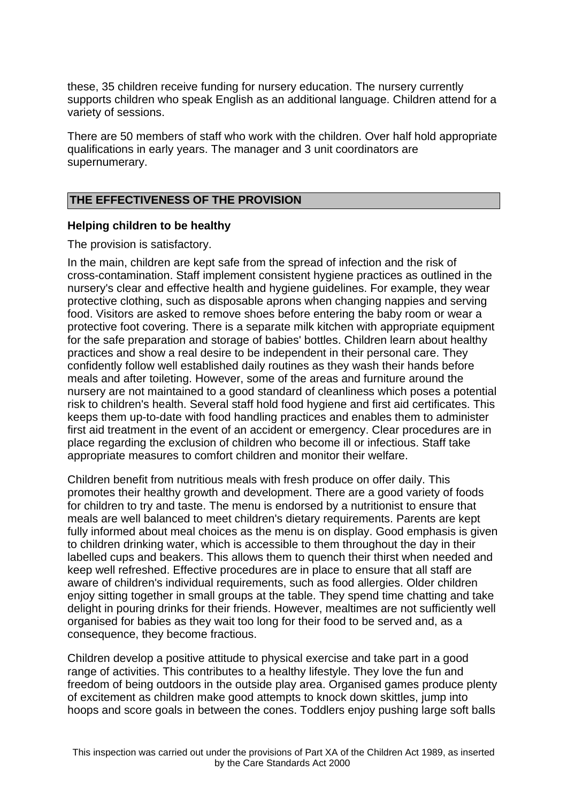these, 35 children receive funding for nursery education. The nursery currently supports children who speak English as an additional language. Children attend for a variety of sessions.

There are 50 members of staff who work with the children. Over half hold appropriate qualifications in early years. The manager and 3 unit coordinators are supernumerary.

#### **THE EFFECTIVENESS OF THE PROVISION**

#### **Helping children to be healthy**

The provision is satisfactory.

In the main, children are kept safe from the spread of infection and the risk of cross-contamination. Staff implement consistent hygiene practices as outlined in the nursery's clear and effective health and hygiene guidelines. For example, they wear protective clothing, such as disposable aprons when changing nappies and serving food. Visitors are asked to remove shoes before entering the baby room or wear a protective foot covering. There is a separate milk kitchen with appropriate equipment for the safe preparation and storage of babies' bottles. Children learn about healthy practices and show a real desire to be independent in their personal care. They confidently follow well established daily routines as they wash their hands before meals and after toileting. However, some of the areas and furniture around the nursery are not maintained to a good standard of cleanliness which poses a potential risk to children's health. Several staff hold food hygiene and first aid certificates. This keeps them up-to-date with food handling practices and enables them to administer first aid treatment in the event of an accident or emergency. Clear procedures are in place regarding the exclusion of children who become ill or infectious. Staff take appropriate measures to comfort children and monitor their welfare.

Children benefit from nutritious meals with fresh produce on offer daily. This promotes their healthy growth and development. There are a good variety of foods for children to try and taste. The menu is endorsed by a nutritionist to ensure that meals are well balanced to meet children's dietary requirements. Parents are kept fully informed about meal choices as the menu is on display. Good emphasis is given to children drinking water, which is accessible to them throughout the day in their labelled cups and beakers. This allows them to quench their thirst when needed and keep well refreshed. Effective procedures are in place to ensure that all staff are aware of children's individual requirements, such as food allergies. Older children enjoy sitting together in small groups at the table. They spend time chatting and take delight in pouring drinks for their friends. However, mealtimes are not sufficiently well organised for babies as they wait too long for their food to be served and, as a consequence, they become fractious.

Children develop a positive attitude to physical exercise and take part in a good range of activities. This contributes to a healthy lifestyle. They love the fun and freedom of being outdoors in the outside play area. Organised games produce plenty of excitement as children make good attempts to knock down skittles, jump into hoops and score goals in between the cones. Toddlers enjoy pushing large soft balls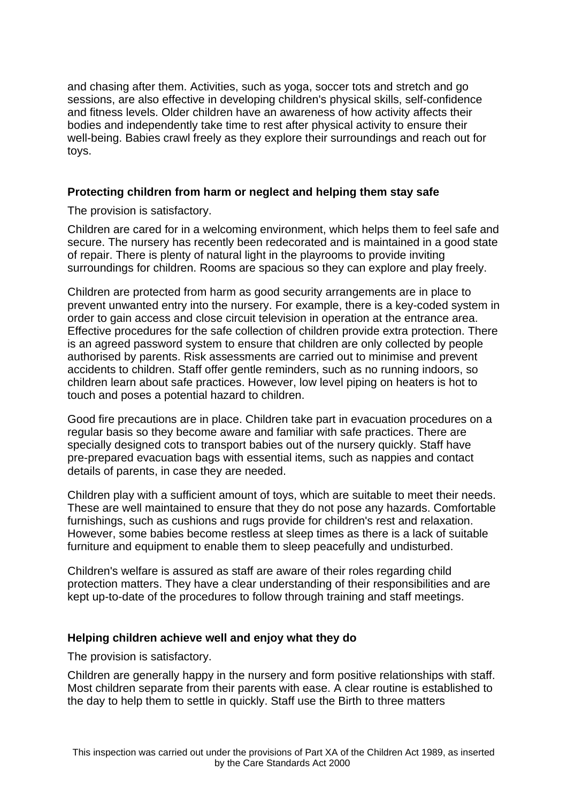and chasing after them. Activities, such as yoga, soccer tots and stretch and go sessions, are also effective in developing children's physical skills, self-confidence and fitness levels. Older children have an awareness of how activity affects their bodies and independently take time to rest after physical activity to ensure their well-being. Babies crawl freely as they explore their surroundings and reach out for toys.

# **Protecting children from harm or neglect and helping them stay safe**

The provision is satisfactory.

Children are cared for in a welcoming environment, which helps them to feel safe and secure. The nursery has recently been redecorated and is maintained in a good state of repair. There is plenty of natural light in the playrooms to provide inviting surroundings for children. Rooms are spacious so they can explore and play freely.

Children are protected from harm as good security arrangements are in place to prevent unwanted entry into the nursery. For example, there is a key-coded system in order to gain access and close circuit television in operation at the entrance area. Effective procedures for the safe collection of children provide extra protection. There is an agreed password system to ensure that children are only collected by people authorised by parents. Risk assessments are carried out to minimise and prevent accidents to children. Staff offer gentle reminders, such as no running indoors, so children learn about safe practices. However, low level piping on heaters is hot to touch and poses a potential hazard to children.

Good fire precautions are in place. Children take part in evacuation procedures on a regular basis so they become aware and familiar with safe practices. There are specially designed cots to transport babies out of the nursery quickly. Staff have pre-prepared evacuation bags with essential items, such as nappies and contact details of parents, in case they are needed.

Children play with a sufficient amount of toys, which are suitable to meet their needs. These are well maintained to ensure that they do not pose any hazards. Comfortable furnishings, such as cushions and rugs provide for children's rest and relaxation. However, some babies become restless at sleep times as there is a lack of suitable furniture and equipment to enable them to sleep peacefully and undisturbed.

Children's welfare is assured as staff are aware of their roles regarding child protection matters. They have a clear understanding of their responsibilities and are kept up-to-date of the procedures to follow through training and staff meetings.

# **Helping children achieve well and enjoy what they do**

The provision is satisfactory.

Children are generally happy in the nursery and form positive relationships with staff. Most children separate from their parents with ease. A clear routine is established to the day to help them to settle in quickly. Staff use the Birth to three matters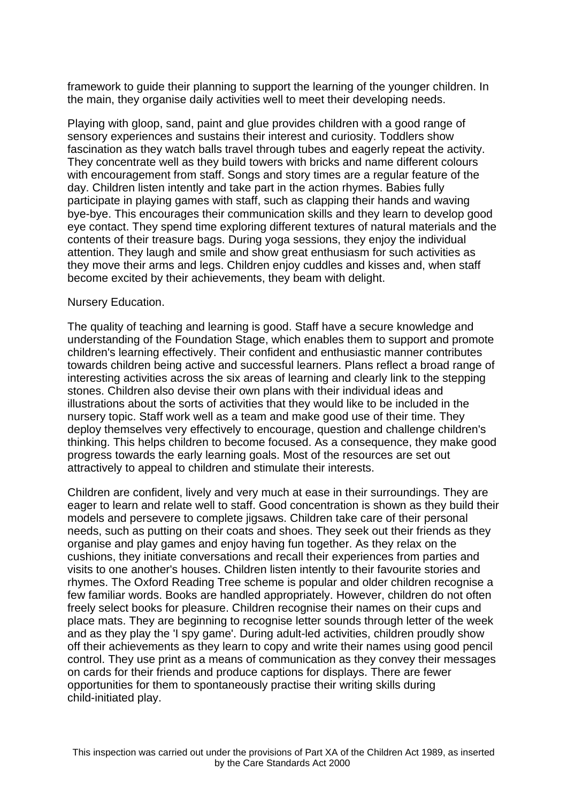framework to guide their planning to support the learning of the younger children. In the main, they organise daily activities well to meet their developing needs.

Playing with gloop, sand, paint and glue provides children with a good range of sensory experiences and sustains their interest and curiosity. Toddlers show fascination as they watch balls travel through tubes and eagerly repeat the activity. They concentrate well as they build towers with bricks and name different colours with encouragement from staff. Songs and story times are a regular feature of the day. Children listen intently and take part in the action rhymes. Babies fully participate in playing games with staff, such as clapping their hands and waving bye-bye. This encourages their communication skills and they learn to develop good eye contact. They spend time exploring different textures of natural materials and the contents of their treasure bags. During yoga sessions, they enjoy the individual attention. They laugh and smile and show great enthusiasm for such activities as they move their arms and legs. Children enjoy cuddles and kisses and, when staff become excited by their achievements, they beam with delight.

#### Nursery Education.

The quality of teaching and learning is good. Staff have a secure knowledge and understanding of the Foundation Stage, which enables them to support and promote children's learning effectively. Their confident and enthusiastic manner contributes towards children being active and successful learners. Plans reflect a broad range of interesting activities across the six areas of learning and clearly link to the stepping stones. Children also devise their own plans with their individual ideas and illustrations about the sorts of activities that they would like to be included in the nursery topic. Staff work well as a team and make good use of their time. They deploy themselves very effectively to encourage, question and challenge children's thinking. This helps children to become focused. As a consequence, they make good progress towards the early learning goals. Most of the resources are set out attractively to appeal to children and stimulate their interests.

Children are confident, lively and very much at ease in their surroundings. They are eager to learn and relate well to staff. Good concentration is shown as they build their models and persevere to complete jigsaws. Children take care of their personal needs, such as putting on their coats and shoes. They seek out their friends as they organise and play games and enjoy having fun together. As they relax on the cushions, they initiate conversations and recall their experiences from parties and visits to one another's houses. Children listen intently to their favourite stories and rhymes. The Oxford Reading Tree scheme is popular and older children recognise a few familiar words. Books are handled appropriately. However, children do not often freely select books for pleasure. Children recognise their names on their cups and place mats. They are beginning to recognise letter sounds through letter of the week and as they play the 'I spy game'. During adult-led activities, children proudly show off their achievements as they learn to copy and write their names using good pencil control. They use print as a means of communication as they convey their messages on cards for their friends and produce captions for displays. There are fewer opportunities for them to spontaneously practise their writing skills during child-initiated play.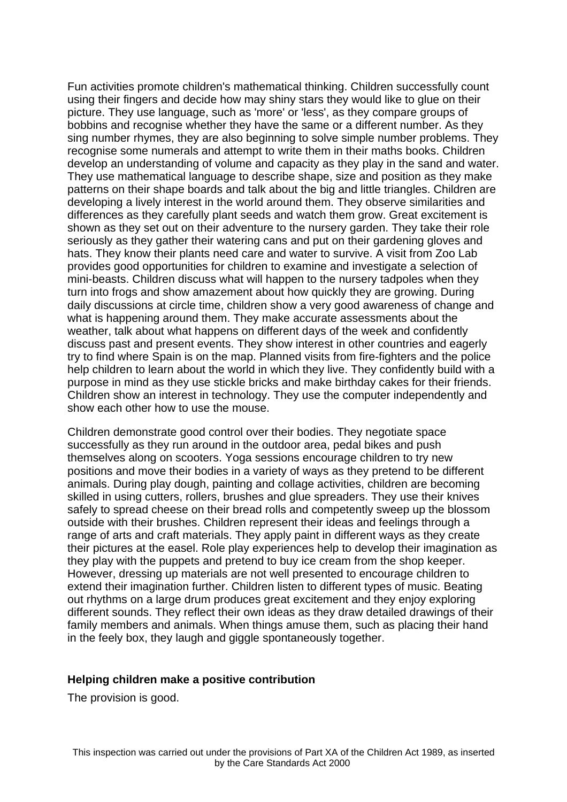Fun activities promote children's mathematical thinking. Children successfully count using their fingers and decide how may shiny stars they would like to glue on their picture. They use language, such as 'more' or 'less', as they compare groups of bobbins and recognise whether they have the same or a different number. As they sing number rhymes, they are also beginning to solve simple number problems. They recognise some numerals and attempt to write them in their maths books. Children develop an understanding of volume and capacity as they play in the sand and water. They use mathematical language to describe shape, size and position as they make patterns on their shape boards and talk about the big and little triangles. Children are developing a lively interest in the world around them. They observe similarities and differences as they carefully plant seeds and watch them grow. Great excitement is shown as they set out on their adventure to the nursery garden. They take their role seriously as they gather their watering cans and put on their gardening gloves and hats. They know their plants need care and water to survive. A visit from Zoo Lab provides good opportunities for children to examine and investigate a selection of mini-beasts. Children discuss what will happen to the nursery tadpoles when they turn into frogs and show amazement about how quickly they are growing. During daily discussions at circle time, children show a very good awareness of change and what is happening around them. They make accurate assessments about the weather, talk about what happens on different days of the week and confidently discuss past and present events. They show interest in other countries and eagerly try to find where Spain is on the map. Planned visits from fire-fighters and the police help children to learn about the world in which they live. They confidently build with a purpose in mind as they use stickle bricks and make birthday cakes for their friends. Children show an interest in technology. They use the computer independently and show each other how to use the mouse.

Children demonstrate good control over their bodies. They negotiate space successfully as they run around in the outdoor area, pedal bikes and push themselves along on scooters. Yoga sessions encourage children to try new positions and move their bodies in a variety of ways as they pretend to be different animals. During play dough, painting and collage activities, children are becoming skilled in using cutters, rollers, brushes and glue spreaders. They use their knives safely to spread cheese on their bread rolls and competently sweep up the blossom outside with their brushes. Children represent their ideas and feelings through a range of arts and craft materials. They apply paint in different ways as they create their pictures at the easel. Role play experiences help to develop their imagination as they play with the puppets and pretend to buy ice cream from the shop keeper. However, dressing up materials are not well presented to encourage children to extend their imagination further. Children listen to different types of music. Beating out rhythms on a large drum produces great excitement and they enjoy exploring different sounds. They reflect their own ideas as they draw detailed drawings of their family members and animals. When things amuse them, such as placing their hand in the feely box, they laugh and giggle spontaneously together.

#### **Helping children make a positive contribution**

The provision is good.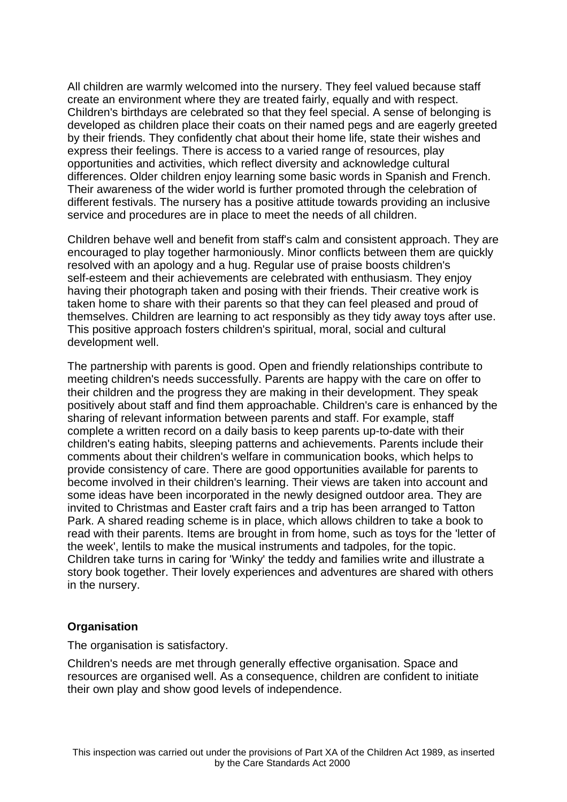All children are warmly welcomed into the nursery. They feel valued because staff create an environment where they are treated fairly, equally and with respect. Children's birthdays are celebrated so that they feel special. A sense of belonging is developed as children place their coats on their named pegs and are eagerly greeted by their friends. They confidently chat about their home life, state their wishes and express their feelings. There is access to a varied range of resources, play opportunities and activities, which reflect diversity and acknowledge cultural differences. Older children enjoy learning some basic words in Spanish and French. Their awareness of the wider world is further promoted through the celebration of different festivals. The nursery has a positive attitude towards providing an inclusive service and procedures are in place to meet the needs of all children.

Children behave well and benefit from staff's calm and consistent approach. They are encouraged to play together harmoniously. Minor conflicts between them are quickly resolved with an apology and a hug. Regular use of praise boosts children's self-esteem and their achievements are celebrated with enthusiasm. They enjoy having their photograph taken and posing with their friends. Their creative work is taken home to share with their parents so that they can feel pleased and proud of themselves. Children are learning to act responsibly as they tidy away toys after use. This positive approach fosters children's spiritual, moral, social and cultural development well.

The partnership with parents is good. Open and friendly relationships contribute to meeting children's needs successfully. Parents are happy with the care on offer to their children and the progress they are making in their development. They speak positively about staff and find them approachable. Children's care is enhanced by the sharing of relevant information between parents and staff. For example, staff complete a written record on a daily basis to keep parents up-to-date with their children's eating habits, sleeping patterns and achievements. Parents include their comments about their children's welfare in communication books, which helps to provide consistency of care. There are good opportunities available for parents to become involved in their children's learning. Their views are taken into account and some ideas have been incorporated in the newly designed outdoor area. They are invited to Christmas and Easter craft fairs and a trip has been arranged to Tatton Park. A shared reading scheme is in place, which allows children to take a book to read with their parents. Items are brought in from home, such as toys for the 'letter of the week', lentils to make the musical instruments and tadpoles, for the topic. Children take turns in caring for 'Winky' the teddy and families write and illustrate a story book together. Their lovely experiences and adventures are shared with others in the nursery.

# **Organisation**

The organisation is satisfactory.

Children's needs are met through generally effective organisation. Space and resources are organised well. As a consequence, children are confident to initiate their own play and show good levels of independence.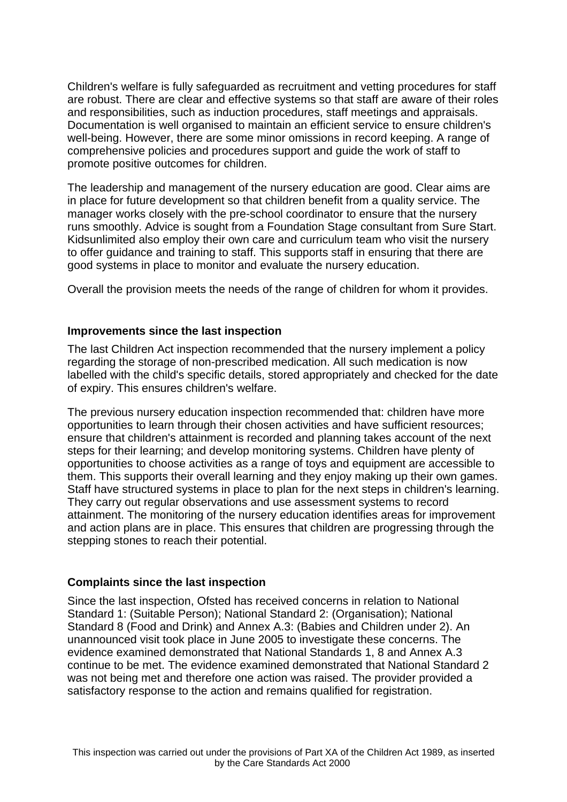Children's welfare is fully safeguarded as recruitment and vetting procedures for staff are robust. There are clear and effective systems so that staff are aware of their roles and responsibilities, such as induction procedures, staff meetings and appraisals. Documentation is well organised to maintain an efficient service to ensure children's well-being. However, there are some minor omissions in record keeping. A range of comprehensive policies and procedures support and guide the work of staff to promote positive outcomes for children.

The leadership and management of the nursery education are good. Clear aims are in place for future development so that children benefit from a quality service. The manager works closely with the pre-school coordinator to ensure that the nursery runs smoothly. Advice is sought from a Foundation Stage consultant from Sure Start. Kidsunlimited also employ their own care and curriculum team who visit the nursery to offer guidance and training to staff. This supports staff in ensuring that there are good systems in place to monitor and evaluate the nursery education.

Overall the provision meets the needs of the range of children for whom it provides.

### **Improvements since the last inspection**

The last Children Act inspection recommended that the nursery implement a policy regarding the storage of non-prescribed medication. All such medication is now labelled with the child's specific details, stored appropriately and checked for the date of expiry. This ensures children's welfare.

The previous nursery education inspection recommended that: children have more opportunities to learn through their chosen activities and have sufficient resources; ensure that children's attainment is recorded and planning takes account of the next steps for their learning; and develop monitoring systems. Children have plenty of opportunities to choose activities as a range of toys and equipment are accessible to them. This supports their overall learning and they enjoy making up their own games. Staff have structured systems in place to plan for the next steps in children's learning. They carry out regular observations and use assessment systems to record attainment. The monitoring of the nursery education identifies areas for improvement and action plans are in place. This ensures that children are progressing through the stepping stones to reach their potential.

# **Complaints since the last inspection**

Since the last inspection, Ofsted has received concerns in relation to National Standard 1: (Suitable Person); National Standard 2: (Organisation); National Standard 8 (Food and Drink) and Annex A.3: (Babies and Children under 2). An unannounced visit took place in June 2005 to investigate these concerns. The evidence examined demonstrated that National Standards 1, 8 and Annex A.3 continue to be met. The evidence examined demonstrated that National Standard 2 was not being met and therefore one action was raised. The provider provided a satisfactory response to the action and remains qualified for registration.